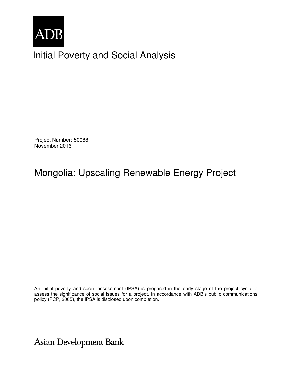

# Initial Poverty and Social Analysis

Project Number: 50088 November 2016

# Mongolia: Upscaling Renewable Energy Project

An initial poverty and social assessment (IPSA) is prepared in the early stage of the project cycle to assess the significance of social issues for a project. In accordance with ADB's public communications policy (PCP, 2005), the IPSA is disclosed upon completion.

Asian Development Bank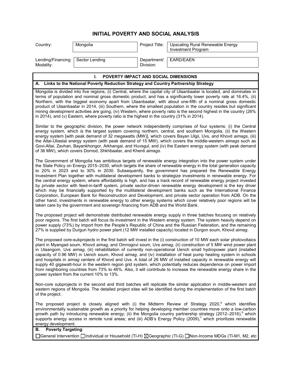### **INITIAL POVERTY AND SOCIAL ANALYSIS**

| Country:                       | Mongolia                                    |                          | Project Title:   Upscaling Rural Renewable Energy<br>Investment Program |
|--------------------------------|---------------------------------------------|--------------------------|-------------------------------------------------------------------------|
| Lending/Financing<br>Modality: | Sector Lending                              | Department/<br>Division: | EARD/EAEN                                                               |
|                                | <b>POVERTY IMPACT AND SOCIAL DIMENSIONS</b> |                          |                                                                         |

#### **A. Links to the National Poverty Reduction Strategy and Country Partnership Strategy** Mongolia is divided into five regions, (i) Central, where the capital city of Ulaanbaatar is located, and dominates in terms of population and nominal gross domestic product, and has a significantly lower poverty rate at 16.4%, (ii) Northern, with the biggest economy apart from Ulaanbaatar, with about one-fifth of a nominal gross domestic product of Ulaanbaatar in 2014, (iii) Southern, where the smallest population in the country resides but significant mining development activities are going, (iv) Western, where poverty ratio is the second highest in the country (26% in 2014), and (v) Eastern, where poverty ratio is the highest in the country (31% in 2014).

Similar to the geographic division, the power network independently comprises of four systems: (i) the Central energy system, which is the largest system covering northern, central, and southern Mongolia, (ii) the Western energy system [with peak demand of 32 megawatts (MW)], which covers Bayan Ulgii, Uvs, and Khovd *aimags*, (iii) the Altai-Uliastai energy system (with peak demand of 15 MW), which covers the middle-western *aimags* such as Govi-Altai, Zavhan, Bayankhongor, Arkhangai, and Huvsgul, and (iv) the Eastern energy system (with peak demand of 36 MW), which covers Dornod, Shkhbaatar, and Khenti *aimags*.

The Government of Mongolia has ambitious targets of renewable energy integration into the power system under the State Policy on Energy 2015–2030, which targets the share of renewable energy in the total generation capacity to 20% in 2023 and to 30% in 2030. Subsequently, the government has prepared the Renewable Energy Investment Plan together with multilateral development banks to strategize investments in renewable energy. For the central energy system, where affordability is high, and has a track record of renewable energy project invested by private sector with feed-in-tariff system, private sector-driven renewable energy development is the key driver which may be financially supported by the multilateral development banks such as the International Finance Corporation, European Bank for Reconstruction and Development, and private sector operation from ADB. On the other hand, investments in renewable energy to other energy systems which cover relatively poor regions will be taken care by the government and sovereign financing from ADB and the World Bank.

The proposed project will demonstrate distributed renewable energy supply in three batches focusing on relatively poor regions. The first batch will focus its investment in the Western energy system. The system heavily depend on power supply (73%) by import from the People's Republic of China and the Russian Federation, and the remaining 27% is supplied by Durgun hydro power plant (12 MW installed capacity) located in Durgon soum, Khovd *aimag*.

The proposed core-subprojects in the first batch will invest in the (i) construction of 10 MW each solar photovoltaics plant in Myangad soum, Khovd *aimag*, and Omnogovi soum, Uvs *aimag*, (ii) construction of 5 MW wind power plant in Ulaangom, Uvs *aimag*, (iii) rehabilitation of currently non-operational Uench small hydropower plant (installed capacity of 0.96 MW) in Uench soum, Khovd *aimag*, and (iv) installation of heat pump heating system in schools and hospitals in *aimag* centers of Khovd and Uvs. A total of 26 MW of installed capacity in renewable energy will supply 40 gigawatt-hour in the western region grid system, which potentially reduces dependence on power import from neighboring countries from 73% to 46%. Also, it will contribute to increase the renewable energy share in the power system from the current 10% to 13%.

Non-core subprojects in the second and third batches will replicate the similar application in middle-western and eastern regions of Mongolia. The detailed project sites will be identified during the implementation of the first batch of the project.

The proposed project is closely aligned with (i) the Midterm Review of Strategy 2020, $^a$  which identifies environmentally sustainable growth as a priority for helping developing member countries move onto a low-carbon growth path by introducing renewable energy; (ii) the Mongolia country partnership strategy (2012–2016), which supports energy access in remote rural areas; and (iii) ADB's Energy Policy (2009),<sup>c</sup> which prioritizes renewable energy development.

### **B. Poverty Targeting**:

General Intervention Individual or Household (TI-H) Geographic (TI-G) Non-Income MDGs (TI-M1, M2, etc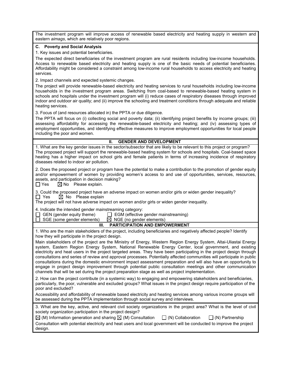The investment program will improve access of renewable based electricity and heating supply in western and eastern *aimags*, which are relatively poor regions.

#### **C. Poverty and Social Analysis**

1. Key issues and potential beneficiaries.

The expected direct beneficiaries of the investment program are rural residents including low-income households. Access to renewable based electricity and heating supply is one of the basic needs of potential beneficiaries. Affordability might be considered a constraint among low-income rural households to access electricity and heating services.

2. Impact channels and expected systemic changes.

The project will provide renewable-based electricity and heating services to rural households including low-income households in the investment program areas. Switching from coal-based to renewable-based heating system in schools and hospitals under the investment program will (i) reduce cases of respiratory diseases through improved indoor and outdoor air quality; and (ii) improve the schooling and treatment conditions through adequate and reliable heating services.

3. Focus of (and resources allocated in) the PPTA or due diligence.

The PPTA will focus on (i) collecting social and poverty data; (ii) identifying project benefits by income groups; (iii) assessing affordability for accessing the renewable-based electricity and heating; and (iv) assessing types of employment opportunities, and identifying effective measures to improve employment opportunities for local people including the poor and women.

| <b>GENDER AND DEVELOPMENT</b><br>Ш.                                                                                                                                                                                                                                                                                                                                                                                                                                                                                                                                                                                                                                                                                                                                                                                  |  |  |  |  |
|----------------------------------------------------------------------------------------------------------------------------------------------------------------------------------------------------------------------------------------------------------------------------------------------------------------------------------------------------------------------------------------------------------------------------------------------------------------------------------------------------------------------------------------------------------------------------------------------------------------------------------------------------------------------------------------------------------------------------------------------------------------------------------------------------------------------|--|--|--|--|
| 1. What are the key gender issues in the sector/subsector that are likely to be relevant to this project or program?<br>The proposed project will support the renewable-based heating system for schools and hospitals. Coal-based space<br>heating has a higher impact on school girls and female patients in terms of increasing incidence of respiratory<br>diseases related to indoor air pollution.                                                                                                                                                                                                                                                                                                                                                                                                             |  |  |  |  |
| 2. Does the proposed project or program have the potential to make a contribution to the promotion of gender equity<br>and/or empowerment of women by providing women's access to and use of opportunities, services, resources,<br>assets, and participation in decision making?<br>$\Box$ Yes<br>$\boxtimes$ No Please explain.                                                                                                                                                                                                                                                                                                                                                                                                                                                                                    |  |  |  |  |
| 3. Could the proposed project have an adverse impact on women and/or girls or widen gender inequality?<br>$\boxtimes$ No Please explain<br>$\Box$ Yes<br>The project will not have adverse impact on women and/or girls or widen gender inequality.                                                                                                                                                                                                                                                                                                                                                                                                                                                                                                                                                                  |  |  |  |  |
| 4. Indicate the intended gender mainstreaming category:<br>GEN (gender equity theme)<br>□ EGM (effective gender mainstreaming)<br>$\boxtimes$ NGE (no gender elements)<br>SGE (some gender elements)                                                                                                                                                                                                                                                                                                                                                                                                                                                                                                                                                                                                                 |  |  |  |  |
| <b>PARTICIPATION AND EMPOWERMENT</b><br>III.                                                                                                                                                                                                                                                                                                                                                                                                                                                                                                                                                                                                                                                                                                                                                                         |  |  |  |  |
| 1. Who are the main stakeholders of the project, including beneficiaries and negatively affected people? Identify<br>how they will participate in the project design.                                                                                                                                                                                                                                                                                                                                                                                                                                                                                                                                                                                                                                                |  |  |  |  |
| Main stakeholders of the project are the Ministry of Energy, Western Region Energy System, Altai-Uliastai Energy<br>system, Eastern Region Energy System, National Renewable Energy Center, local government, and existing<br>electricity and heat users in the project targeted areas. They have been participating in the project design through<br>consultations and series of review and approval processes. Potentially affected communities will participate in public<br>consultations during the domestic environment impact assessment preparation and will also have an opportunity to<br>engage in project design improvement through potential public consultation meetings and other communication<br>channels that will be set during the project preparation stage as well as project implementation. |  |  |  |  |
| 2. How can the project contribute (in a systemic way) to engaging and empowering stakeholders and beneficiaries,<br>particularly, the poor, vulnerable and excluded groups? What issues in the project design require participation of the<br>poor and excluded?                                                                                                                                                                                                                                                                                                                                                                                                                                                                                                                                                     |  |  |  |  |
| Accessibility and affordability of renewable based electricity and heating services among various income groups will<br>be assessed during the PPTA implementation through social survey and interviews.                                                                                                                                                                                                                                                                                                                                                                                                                                                                                                                                                                                                             |  |  |  |  |
| 3. What are the key, active, and relevant civil society organizations in the project area? What is the level of civil<br>society organization participation in the project design?<br>$\boxtimes$ (M) Information generation and sharing $\boxtimes$ (M) Consultation<br>$\Box$ (N) Collaboration<br>$\Box$ (N) Partnership<br>Consultation with potential electricity and heat users and local government will be conducted to improve the project                                                                                                                                                                                                                                                                                                                                                                  |  |  |  |  |
| design.                                                                                                                                                                                                                                                                                                                                                                                                                                                                                                                                                                                                                                                                                                                                                                                                              |  |  |  |  |